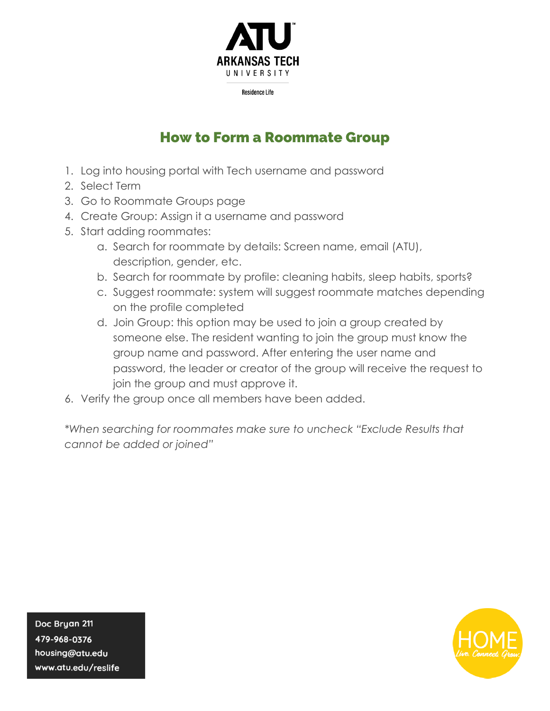

**Residence Life** 

## How to Form a Roommate Group

- 1. Log into housing portal with Tech username and password
- 2. Select Term
- 3. Go to Roommate Groups page
- 4. Create Group: Assign it a username and password
- 5. Start adding roommates:
	- a. Search for roommate by details: Screen name, email (ATU), description, gender, etc.
	- b. Search for roommate by profile: cleaning habits, sleep habits, sports?
	- c. Suggest roommate: system will suggest roommate matches depending on the profile completed
	- d. Join Group: this option may be used to join a group created by someone else. The resident wanting to join the group must know the group name and password. After entering the user name and password, the leader or creator of the group will receive the request to join the group and must approve it.
- 6. Verify the group once all members have been added.

*\*When searching for roommates make sure to uncheck "Exclude Results that cannot be added or joined"*

Doc Bryan 211 479-968-0376 housing@atu.edu www.atu.edu/reslife

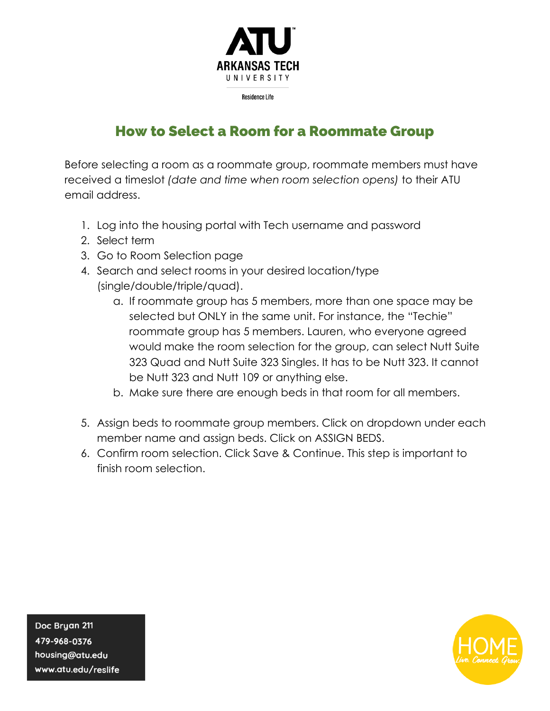

**Residence Life** 

## How to Select a Room for a Roommate Group

Before selecting a room as a roommate group, roommate members must have received a timeslot *(date and time when room selection opens)* to their ATU email address.

- 1. Log into the housing portal with Tech username and password
- 2. Select term
- 3. Go to Room Selection page
- 4. Search and select rooms in your desired location/type (single/double/triple/quad).
	- a. If roommate group has 5 members, more than one space may be selected but ONLY in the same unit. For instance, the "Techie" roommate group has 5 members. Lauren, who everyone agreed would make the room selection for the group, can select Nutt Suite 323 Quad and Nutt Suite 323 Singles. It has to be Nutt 323. It cannot be Nutt 323 and Nutt 109 or anything else.
	- b. Make sure there are enough beds in that room for all members.
- 5. Assign beds to roommate group members. Click on dropdown under each member name and assign beds. Click on ASSIGN BEDS.
- 6. Confirm room selection. Click Save & Continue. This step is important to finish room selection.

Doc Bryan 211 479-968-0376 housing@atu.edu www.atu.edu/reslife